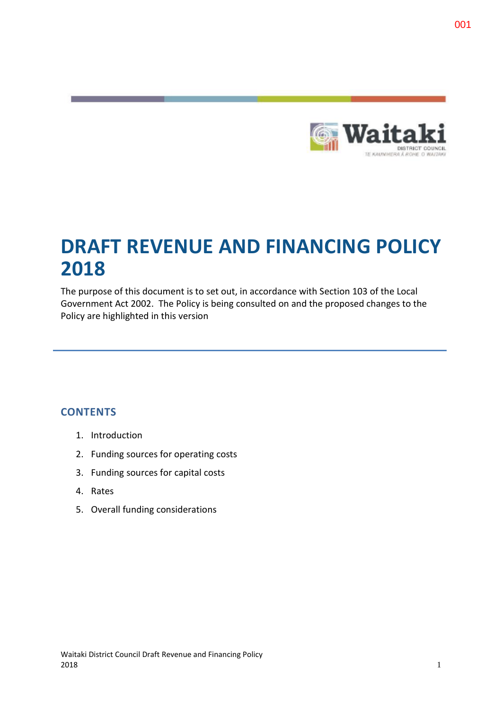

# **DRAFT REVENUE AND FINANCING POLICY 2018**

The purpose of this document is to set out, in accordance with Section 103 of the Local Government Act 2002. The Policy is being consulted on and the proposed changes to the Policy are highlighted in this version

# **CONTENTS**

- 1. Introduction
- 2. Funding sources for operating costs
- 3. Funding sources for capital costs
- 4. Rates
- 5. Overall funding considerations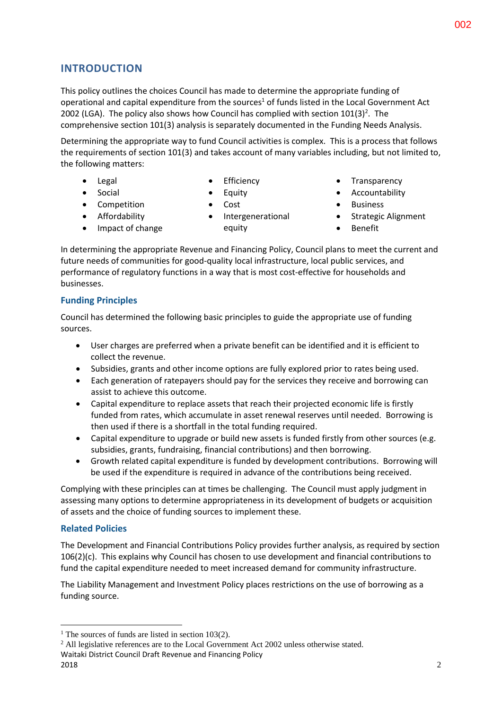# **INTRODUCTION**

This policy outlines the choices Council has made to determine the appropriate funding of operational and capital expenditure from the sources<sup>1</sup> of funds listed in the Local Government Act 2002 (LGA). The policy also shows how Council has complied with section  $101(3)^2$ . The comprehensive section 101(3) analysis is separately documented in the Funding Needs Analysis.

Determining the appropriate way to fund Council activities is complex. This is a process that follows the requirements of section 101(3) and takes account of many variables including, but not limited to, the following matters:

 Legal • Social

• Competition **•** Affordability • Impact of change

- Efficiency
- Equity
- - Intergenerational equity
- Transparency
- Accountability
- Business
- Strategic Alignment
- Benefit

In determining the appropriate Revenue and Financing Policy, Council plans to meet the current and future needs of communities for good-quality local infrastructure, local public services, and performance of regulatory functions in a way that is most cost-effective for households and businesses.

# **Funding Principles**

Council has determined the following basic principles to guide the appropriate use of funding sources.

- User charges are preferred when a private benefit can be identified and it is efficient to collect the revenue.
- Subsidies, grants and other income options are fully explored prior to rates being used.
- Each generation of ratepayers should pay for the services they receive and borrowing can assist to achieve this outcome.
- Capital expenditure to replace assets that reach their projected economic life is firstly funded from rates, which accumulate in asset renewal reserves until needed. Borrowing is then used if there is a shortfall in the total funding required.
- Capital expenditure to upgrade or build new assets is funded firstly from other sources (e.g. subsidies, grants, fundraising, financial contributions) and then borrowing.
- Growth related capital expenditure is funded by development contributions. Borrowing will be used if the expenditure is required in advance of the contributions being received.

Complying with these principles can at times be challenging. The Council must apply judgment in assessing many options to determine appropriateness in its development of budgets or acquisition of assets and the choice of funding sources to implement these.

# **Related Policies**

The Development and Financial Contributions Policy provides further analysis, as required by section 106(2)(c). This explains why Council has chosen to use development and financial contributions to fund the capital expenditure needed to meet increased demand for community infrastructure.

The Liability Management and Investment Policy places restrictions on the use of borrowing as a funding source.

1

- Cost
- 

<sup>&</sup>lt;sup>1</sup> The sources of funds are listed in section  $103(2)$ .

Waitaki District Council Draft Revenue and Financing Policy  $2018$  2018 <sup>2</sup> All legislative references are to the Local Government Act 2002 unless otherwise stated.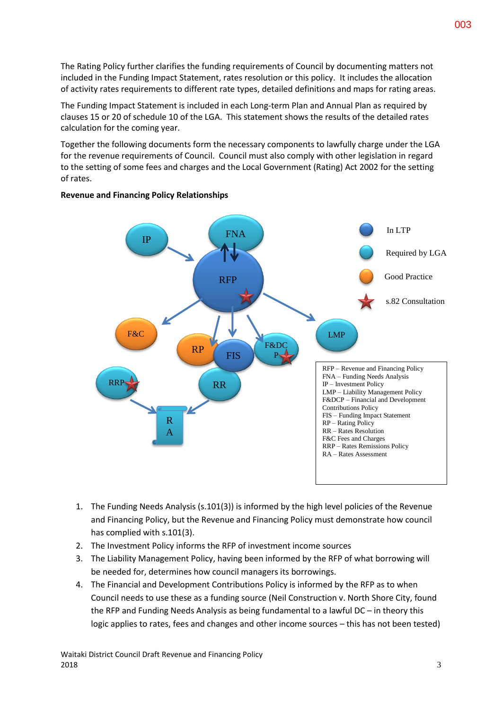The Rating Policy further clarifies the funding requirements of Council by documenting matters not included in the Funding Impact Statement, rates resolution or this policy. It includes the allocation of activity rates requirements to different rate types, detailed definitions and maps for rating areas.

The Funding Impact Statement is included in each Long-term Plan and Annual Plan as required by clauses 15 or 20 of schedule 10 of the LGA. This statement shows the results of the detailed rates calculation for the coming year.

Together the following documents form the necessary components to lawfully charge under the LGA for the revenue requirements of Council. Council must also comply with other legislation in regard to the setting of some fees and charges and the Local Government (Rating) Act 2002 for the setting of rates.



## **Revenue and Financing Policy Relationships**

- 1. The Funding Needs Analysis (s.101(3)) is informed by the high level policies of the Revenue and Financing Policy, but the Revenue and Financing Policy must demonstrate how council has complied with s.101(3).
- 2. The Investment Policy informs the RFP of investment income sources
- 3. The Liability Management Policy, having been informed by the RFP of what borrowing will be needed for, determines how council managers its borrowings.
- 4. The Financial and Development Contributions Policy is informed by the RFP as to when Council needs to use these as a funding source (Neil Construction v. North Shore City, found the RFP and Funding Needs Analysis as being fundamental to a lawful DC – in theory this logic applies to rates, fees and changes and other income sources – this has not been tested)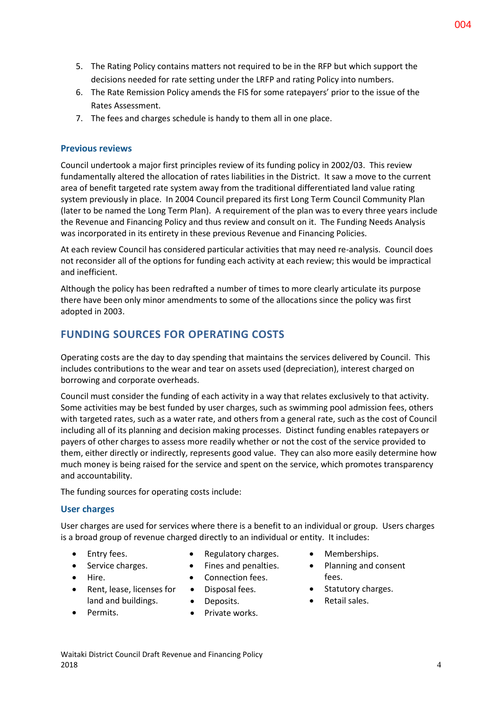- 5. The Rating Policy contains matters not required to be in the RFP but which support the decisions needed for rate setting under the LRFP and rating Policy into numbers.
- 6. The Rate Remission Policy amends the FIS for some ratepayers' prior to the issue of the Rates Assessment.
- 7. The fees and charges schedule is handy to them all in one place.

## **Previous reviews**

Council undertook a major first principles review of its funding policy in 2002/03. This review fundamentally altered the allocation of rates liabilities in the District. It saw a move to the current area of benefit targeted rate system away from the traditional differentiated land value rating system previously in place. In 2004 Council prepared its first Long Term Council Community Plan (later to be named the Long Term Plan). A requirement of the plan was to every three years include the Revenue and Financing Policy and thus review and consult on it. The Funding Needs Analysis was incorporated in its entirety in these previous Revenue and Financing Policies.

At each review Council has considered particular activities that may need re-analysis. Council does not reconsider all of the options for funding each activity at each review; this would be impractical and inefficient.

Although the policy has been redrafted a number of times to more clearly articulate its purpose there have been only minor amendments to some of the allocations since the policy was first adopted in 2003.

# **FUNDING SOURCES FOR OPERATING COSTS**

Operating costs are the day to day spending that maintains the services delivered by Council. This includes contributions to the wear and tear on assets used (depreciation), interest charged on borrowing and corporate overheads.

Council must consider the funding of each activity in a way that relates exclusively to that activity. Some activities may be best funded by user charges, such as swimming pool admission fees, others with targeted rates, such as a water rate, and others from a general rate, such as the cost of Council including all of its planning and decision making processes. Distinct funding enables ratepayers or payers of other charges to assess more readily whether or not the cost of the service provided to them, either directly or indirectly, represents good value. They can also more easily determine how much money is being raised for the service and spent on the service, which promotes transparency and accountability.

The funding sources for operating costs include:

# **User charges**

User charges are used for services where there is a benefit to an individual or group. Users charges is a broad group of revenue charged directly to an individual or entity. It includes:

- Entry fees.
- Regulatory charges.
- Service charges.
- Hire.
- 
- Fines and penalties.
- Connection fees.
- Rent, lease, licenses for land and buildings.
- Permits.
- Disposal fees. • Deposits.
- Private works.
- Memberships.
- Planning and consent fees.
- Statutory charges.
- Retail sales.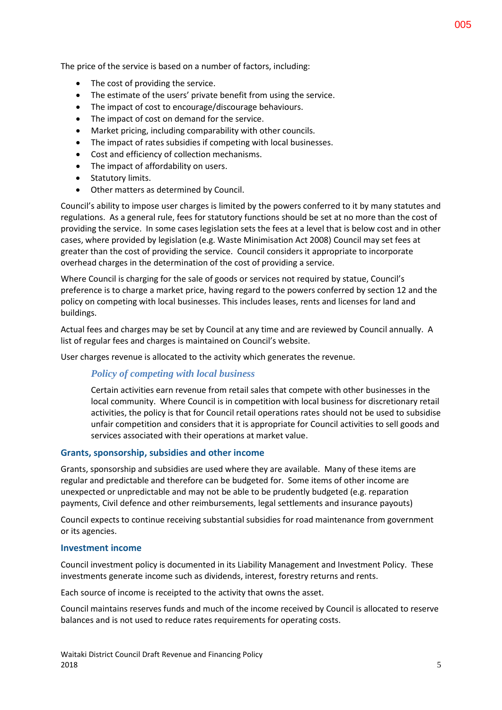- The cost of providing the service.
- The estimate of the users' private benefit from using the service.
- The impact of cost to encourage/discourage behaviours.
- The impact of cost on demand for the service.
- Market pricing, including comparability with other councils.
- The impact of rates subsidies if competing with local businesses.
- Cost and efficiency of collection mechanisms.
- The impact of affordability on users.
- Statutory limits.
- Other matters as determined by Council.

Council's ability to impose user charges is limited by the powers conferred to it by many statutes and regulations. As a general rule, fees for statutory functions should be set at no more than the cost of providing the service. In some cases legislation sets the fees at a level that is below cost and in other cases, where provided by legislation (e.g. Waste Minimisation Act 2008) Council may set fees at greater than the cost of providing the service. Council considers it appropriate to incorporate overhead charges in the determination of the cost of providing a service.

Where Council is charging for the sale of goods or services not required by statue, Council's preference is to charge a market price, having regard to the powers conferred by section 12 and the policy on competing with local businesses. This includes leases, rents and licenses for land and buildings.

Actual fees and charges may be set by Council at any time and are reviewed by Council annually. A list of regular fees and charges is maintained on Council's website.

User charges revenue is allocated to the activity which generates the revenue.

# *Policy of competing with local business*

Certain activities earn revenue from retail sales that compete with other businesses in the local community. Where Council is in competition with local business for discretionary retail activities, the policy is that for Council retail operations rates should not be used to subsidise unfair competition and considers that it is appropriate for Council activities to sell goods and services associated with their operations at market value.

#### **Grants, sponsorship, subsidies and other income**

Grants, sponsorship and subsidies are used where they are available. Many of these items are regular and predictable and therefore can be budgeted for. Some items of other income are unexpected or unpredictable and may not be able to be prudently budgeted (e.g. reparation payments, Civil defence and other reimbursements, legal settlements and insurance payouts)

Council expects to continue receiving substantial subsidies for road maintenance from government or its agencies.

#### **Investment income**

Council investment policy is documented in its Liability Management and Investment Policy. These investments generate income such as dividends, interest, forestry returns and rents.

Each source of income is receipted to the activity that owns the asset.

Council maintains reserves funds and much of the income received by Council is allocated to reserve balances and is not used to reduce rates requirements for operating costs.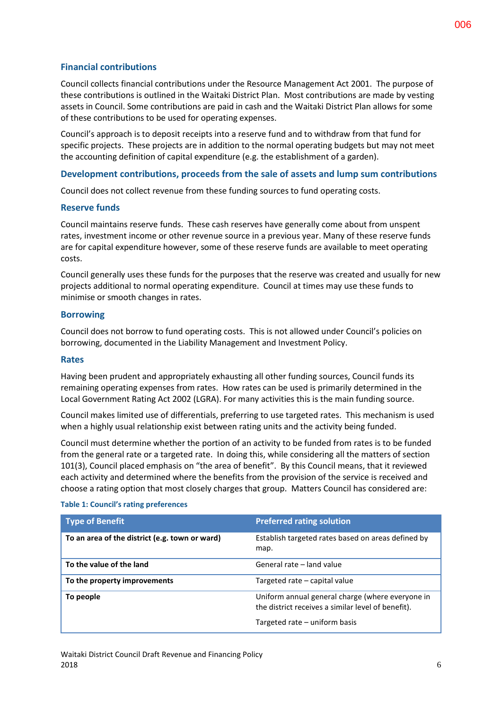# **Financial contributions**

Council collects financial contributions under the Resource Management Act 2001. The purpose of these contributions is outlined in the Waitaki District Plan. Most contributions are made by vesting assets in Council. Some contributions are paid in cash and the Waitaki District Plan allows for some of these contributions to be used for operating expenses.

Council's approach is to deposit receipts into a reserve fund and to withdraw from that fund for specific projects. These projects are in addition to the normal operating budgets but may not meet the accounting definition of capital expenditure (e.g. the establishment of a garden).

## **Development contributions, proceeds from the sale of assets and lump sum contributions**

Council does not collect revenue from these funding sources to fund operating costs.

#### **Reserve funds**

Council maintains reserve funds. These cash reserves have generally come about from unspent rates, investment income or other revenue source in a previous year. Many of these reserve funds are for capital expenditure however, some of these reserve funds are available to meet operating costs.

Council generally uses these funds for the purposes that the reserve was created and usually for new projects additional to normal operating expenditure. Council at times may use these funds to minimise or smooth changes in rates.

#### **Borrowing**

Council does not borrow to fund operating costs. This is not allowed under Council's policies on borrowing, documented in the Liability Management and Investment Policy.

#### **Rates**

Having been prudent and appropriately exhausting all other funding sources, Council funds its remaining operating expenses from rates. How rates can be used is primarily determined in the Local Government Rating Act 2002 (LGRA). For many activities this is the main funding source.

Council makes limited use of differentials, preferring to use targeted rates. This mechanism is used when a highly usual relationship exist between rating units and the activity being funded.

Council must determine whether the portion of an activity to be funded from rates is to be funded from the general rate or a targeted rate. In doing this, while considering all the matters of section 101(3), Council placed emphasis on "the area of benefit". By this Council means, that it reviewed each activity and determined where the benefits from the provision of the service is received and choose a rating option that most closely charges that group. Matters Council has considered are:

| <b>Type of Benefit</b>                         | <b>Preferred rating solution</b>                                                                       |
|------------------------------------------------|--------------------------------------------------------------------------------------------------------|
| To an area of the district (e.g. town or ward) | Establish targeted rates based on areas defined by<br>map.                                             |
| To the value of the land                       | General rate - land value                                                                              |
| To the property improvements                   | Targeted rate - capital value                                                                          |
| To people                                      | Uniform annual general charge (where everyone in<br>the district receives a similar level of benefit). |
|                                                | Targeted rate - uniform basis                                                                          |

#### **Table 1: Council's rating preferences**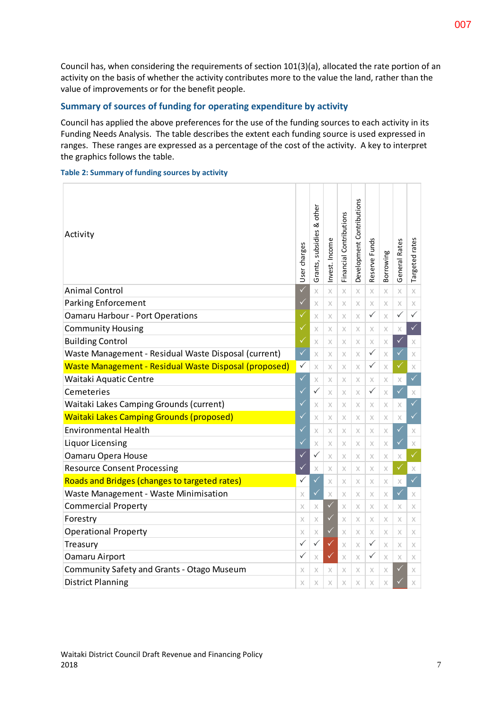Council has, when considering the requirements of section 101(3)(a), allocated the rate portion of an activity on the basis of whether the activity contributes more to the value the land, rather than the value of improvements or for the benefit people.

# **Summary of sources of funding for operating expenditure by activity**

Council has applied the above preferences for the use of the funding sources to each activity in its Funding Needs Analysis. The table describes the extent each funding source is used expressed in ranges. These ranges are expressed as a percentage of the cost of the activity. A key to interpret the graphics follows the table.

**Table 2: Summary of funding sources by activity**

| Activity                                              | User charges | other<br>ಷ<br>Grants, subsidies | Invest. Income | Financial Contributions | Development Contributions | Reserve Funds | Borrowing | General Rates | Targeted rates |
|-------------------------------------------------------|--------------|---------------------------------|----------------|-------------------------|---------------------------|---------------|-----------|---------------|----------------|
| <b>Animal Control</b>                                 | $\checkmark$ | $\times$                        | $\times$       | $\times$                | $\times$                  | $\times$      | $\times$  | $\times$      | $\times$       |
| <b>Parking Enforcement</b>                            | $\checkmark$ | X                               | $\times$       | X                       | $\times$                  | X             | X         | X             | X              |
| <b>Oamaru Harbour - Port Operations</b>               |              | X                               | $\times$       | $\times$                | $\times$                  | $\checkmark$  | $\times$  | $\checkmark$  | $\checkmark$   |
| <b>Community Housing</b>                              | ✓            | X                               | X              | X                       | $\times$                  | X             | X         | X             | $\checkmark$   |
| <b>Building Control</b>                               |              | $\times$                        | $\times$       | X                       | $\times$                  | $\times$      | X         | $\checkmark$  | X              |
| Waste Management - Residual Waste Disposal (current)  |              | X                               | $\times$       | $\times$                | $\times$                  | $\checkmark$  | X         | $\checkmark$  | $\times$       |
| Waste Management - Residual Waste Disposal (proposed) |              | X                               | X              | X                       | $\times$                  | $\checkmark$  | X         | $\checkmark$  | $\times$       |
| Waitaki Aquatic Centre                                |              | X                               | $\times$       | $\times$                | $\times$                  | X             | $\times$  | X             | $\checkmark$   |
| Cemeteries                                            |              | $\checkmark$                    | X              | $\times$                | $\times$                  | ✓             | $\times$  | $\checkmark$  | X              |
| Waitaki Lakes Camping Grounds (current)               |              |                                 | X              | X                       | $\times$                  | X             | X         | X             | $\checkmark$   |
| <b>Waitaki Lakes Camping Grounds (proposed)</b>       |              |                                 | X              | $\times$                | $\times$                  | $\times$      | X         | $\times$      | $\checkmark$   |
| <b>Environmental Health</b>                           |              | X                               | $\times$       | X                       | $\times$                  | X             | X         | $\checkmark$  | $\times$       |
| Liquor Licensing                                      |              | $\times$                        | X              | X                       | $\times$                  | X             | $\times$  | $\checkmark$  | X              |
| Oamaru Opera House                                    |              | $\checkmark$                    | X              | X                       | $\times$                  | X             | $\times$  | Х             | $\checkmark$   |
| <b>Resource Consent Processing</b>                    |              | X                               | X              | $\times$                | $\times$                  | $\times$      | $\times$  | $\checkmark$  | X              |
| Roads and Bridges (changes to targeted rates)         |              | $\checkmark$                    | $\times$       | X                       | $\times$                  | X             | $\times$  | X             | $\checkmark$   |
| Waste Management - Waste Minimisation                 |              | ✓                               | $\times$       | X                       | $\times$                  | X             | $\times$  | $\checkmark$  | X              |
| <b>Commercial Property</b>                            |              | Χ                               | $\checkmark$   | X                       | X                         | X             | X         | X             | X              |
| Forestry                                              |              | $\times$                        | ✓              | X                       | $\times$                  | X             | $\times$  | X             | X              |
| <b>Operational Property</b>                           |              | X                               | ✓              | X                       | $\times$                  | X             | $\times$  | X             | X              |
| Treasury                                              |              | $\checkmark$                    | ✓              | $\times$                | $\times$                  | $\checkmark$  | $\times$  | X             | X              |
| Oamaru Airport                                        |              | $\times$                        | V              | X                       | $\times$                  | $\checkmark$  | $\times$  | X             | X              |
| <b>Community Safety and Grants - Otago Museum</b>     |              |                                 | X              | X                       | X                         | X             | X         | $\checkmark$  | X              |
| <b>District Planning</b>                              |              | X                               | X              | X                       | $\times$                  | X             | X         | ✓             | X              |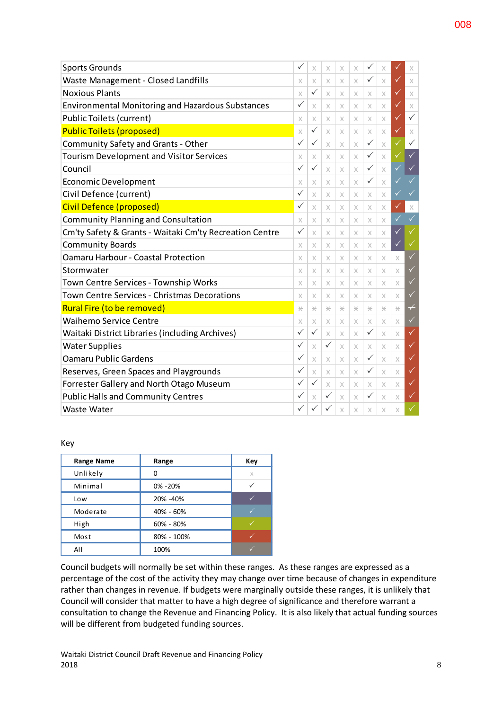| <b>Sports Grounds</b>                                    | ✓            | X            | X             | X        | X        | ✓                    | X        |              | X                        |
|----------------------------------------------------------|--------------|--------------|---------------|----------|----------|----------------------|----------|--------------|--------------------------|
| <b>Waste Management - Closed Landfills</b>               |              |              | X             | X        | $\times$ | $\checkmark$         | $\times$ | ✓            | $\times$                 |
| <b>Noxious Plants</b>                                    |              | $\checkmark$ | X             | X        | X        | X                    | X        | $\sqrt{}$    | $\chi$                   |
| <b>Environmental Monitoring and Hazardous Substances</b> | $\checkmark$ | $\times$     | X             | X        | X        | $\times$             | X        | ✓            | $\times$                 |
| <b>Public Toilets (current)</b>                          | X            | X            | X             | X        | X        | X                    | X        | ✓            | $\checkmark$             |
| <b>Public Toilets (proposed)</b>                         | $\times$     | $\checkmark$ | $\times$      | X        | X        | X                    | X        | ✓            | $\chi$                   |
| $\checkmark$<br>Community Safety and Grants - Other      |              |              |               | X        | X        | $\checkmark$         | X        | $\checkmark$ | $\checkmark$             |
| <b>Tourism Development and Visitor Services</b>          |              | $\times$     | X             | X        | $\times$ | $\checkmark$         | $\times$ | ✓            | $\checkmark$             |
| Council                                                  |              | $\checkmark$ | X             | X        | X        | $\checkmark$         | X        | ✓            | $\checkmark$             |
| <b>Economic Development</b>                              |              | X            | X             | X        | $\times$ | ✓                    | $\times$ |              | ✓                        |
| Civil Defence (current)                                  |              | $\times$     | X             | X        | X        | X                    | X        |              | $\checkmark$             |
| Civil Defence (proposed)                                 |              | $\times$     | X             | X        | X        | X                    | X        | $\checkmark$ | $\times$                 |
| <b>Community Planning and Consultation</b>               |              |              | X             | X        | X        | X                    | X        |              | $\checkmark$             |
| Cm'ty Safety & Grants - Waitaki Cm'ty Recreation Centre  |              | $\times$     | X             | X        | X        | X                    | X        | ✓            |                          |
| <b>Community Boards</b>                                  |              | X            | X             | X        | X        | X                    | X        | ✓            | $\checkmark$             |
| <b>Oamaru Harbour - Coastal Protection</b>               |              | X            | X             | X        | X        | X                    | $\times$ | X            | $\checkmark$             |
| Stormwater                                               |              | X            | X             | X        | X        | X                    | X        | X            | ✓                        |
| Town Centre Services - Township Works                    |              | X            | X             | X        | X        | X                    | X        | $\times$     | $\checkmark$             |
| <b>Town Centre Services - Christmas Decorations</b>      |              | X            | X             | X        | X        | X                    | X        | X            | $\sqrt{}$                |
| Rural Fire (to be removed)                               |              | $\star$      | $\frac{1}{2}$ | *        | *        | $\frac{1}{\sqrt{2}}$ | *        | *            | $\overline{\phantom{0}}$ |
| <b>Waihemo Service Centre</b>                            |              | X            | X             | Х        | X        | X                    | X        | X            | $\checkmark$             |
| Waitaki District Libraries (including Archives)          |              | $\checkmark$ | $\times$      | $\times$ | X        | $\checkmark$         | X        | $\times$     | ✓                        |
| <b>Water Supplies</b>                                    |              | X            | $\checkmark$  | X        | X        | X                    | X        | X            | ✓                        |
| <b>Oamaru Public Gardens</b>                             |              | $\times$     | X             | X        | X        | $\checkmark$         | X        | X            | $\checkmark$             |
| Reserves, Green Spaces and Playgrounds                   |              | X            | X             | X        | X        | ✓                    | X        | X            | $\checkmark$             |
| Forrester Gallery and North Otago Museum                 |              | $\checkmark$ | X             | X        | X        | X                    | X        | X            | ✓                        |
| <b>Public Halls and Community Centres</b>                | $\checkmark$ | X            | $\checkmark$  | X        | X        | $\checkmark$         | X        | X            | $\checkmark$             |
| <b>Waste Water</b>                                       | $\checkmark$ | $\checkmark$ | ✓             | X        | X        | X                    | X        | X            |                          |

#### Key

| <b>Range Name</b> | Range         | Key      |
|-------------------|---------------|----------|
| Unlikely          | O             | $\times$ |
| Minimal           | 0% -20%       |          |
| Low               | 20% -40%      |          |
| Moderate          | 40% - 60%     |          |
| High              | $60\% - 80\%$ |          |
| Most              | 80% - 100%    |          |
| All               | 100%          |          |

Council budgets will normally be set within these ranges. As these ranges are expressed as a percentage of the cost of the activity they may change over time because of changes in expenditure rather than changes in revenue. If budgets were marginally outside these ranges, it is unlikely that Council will consider that matter to have a high degree of significance and therefore warrant a consultation to change the Revenue and Financing Policy. It is also likely that actual funding sources will be different from budgeted funding sources.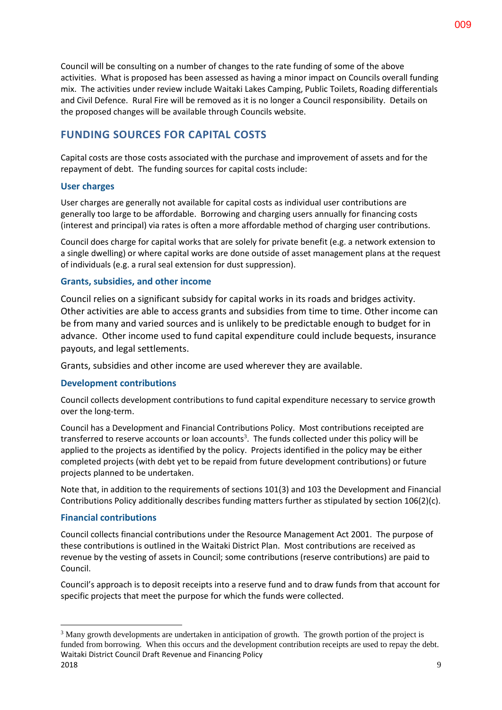Council will be consulting on a number of changes to the rate funding of some of the above activities. What is proposed has been assessed as having a minor impact on Councils overall funding mix. The activities under review include Waitaki Lakes Camping, Public Toilets, Roading differentials and Civil Defence. Rural Fire will be removed as it is no longer a Council responsibility. Details on the proposed changes will be available through Councils website.

# **FUNDING SOURCES FOR CAPITAL COSTS**

Capital costs are those costs associated with the purchase and improvement of assets and for the repayment of debt. The funding sources for capital costs include:

## **User charges**

User charges are generally not available for capital costs as individual user contributions are generally too large to be affordable. Borrowing and charging users annually for financing costs (interest and principal) via rates is often a more affordable method of charging user contributions.

Council does charge for capital works that are solely for private benefit (e.g. a network extension to a single dwelling) or where capital works are done outside of asset management plans at the request of individuals (e.g. a rural seal extension for dust suppression).

## **Grants, subsidies, and other income**

Council relies on a significant subsidy for capital works in its roads and bridges activity. Other activities are able to access grants and subsidies from time to time. Other income can be from many and varied sources and is unlikely to be predictable enough to budget for in advance. Other income used to fund capital expenditure could include bequests, insurance payouts, and legal settlements.

Grants, subsidies and other income are used wherever they are available.

#### **Development contributions**

Council collects development contributions to fund capital expenditure necessary to service growth over the long-term.

Council has a Development and Financial Contributions Policy. Most contributions receipted are transferred to reserve accounts or loan accounts<sup>3</sup>. The funds collected under this policy will be applied to the projects as identified by the policy. Projects identified in the policy may be either completed projects (with debt yet to be repaid from future development contributions) or future projects planned to be undertaken.

Note that, in addition to the requirements of sections 101(3) and 103 the Development and Financial Contributions Policy additionally describes funding matters further as stipulated by section 106(2)(c).

#### **Financial contributions**

1

Council collects financial contributions under the Resource Management Act 2001. The purpose of these contributions is outlined in the Waitaki District Plan. Most contributions are received as revenue by the vesting of assets in Council; some contributions (reserve contributions) are paid to Council.

Council's approach is to deposit receipts into a reserve fund and to draw funds from that account for specific projects that meet the purpose for which the funds were collected.

Waitaki District Council Draft Revenue and Financing Policy  $2018$  9 <sup>3</sup> Many growth developments are undertaken in anticipation of growth. The growth portion of the project is funded from borrowing. When this occurs and the development contribution receipts are used to repay the debt.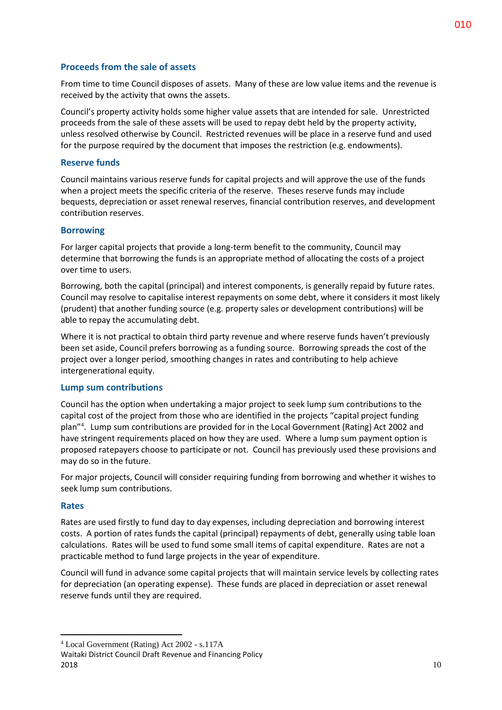## **Proceeds from the sale of assets**

From time to time Council disposes of assets. Many of these are low value items and the revenue is received by the activity that owns the assets.

Council's property activity holds some higher value assets that are intended for sale. Unrestricted proceeds from the sale of these assets will be used to repay debt held by the property activity, unless resolved otherwise by Council. Restricted revenues will be place in a reserve fund and used for the purpose required by the document that imposes the restriction (e.g. endowments).

#### **Reserve funds**

Council maintains various reserve funds for capital projects and will approve the use of the funds when a project meets the specific criteria of the reserve. Theses reserve funds may include bequests, depreciation or asset renewal reserves, financial contribution reserves, and development contribution reserves.

## **Borrowing**

For larger capital projects that provide a long-term benefit to the community, Council may determine that borrowing the funds is an appropriate method of allocating the costs of a project over time to users.

Borrowing, both the capital (principal) and interest components, is generally repaid by future rates. Council may resolve to capitalise interest repayments on some debt, where it considers it most likely (prudent) that another funding source (e.g. property sales or development contributions) will be able to repay the accumulating debt.

Where it is not practical to obtain third party revenue and where reserve funds haven't previously been set aside, Council prefers borrowing as a funding source. Borrowing spreads the cost of the project over a longer period, smoothing changes in rates and contributing to help achieve intergenerational equity.

#### **Lump sum contributions**

Council has the option when undertaking a major project to seek lump sum contributions to the capital cost of the project from those who are identified in the projects "capital project funding plan"<sup>4</sup> . Lump sum contributions are provided for in the Local Government (Rating) Act 2002 and have stringent requirements placed on how they are used. Where a lump sum payment option is proposed ratepayers choose to participate or not. Council has previously used these provisions and may do so in the future.

For major projects, Council will consider requiring funding from borrowing and whether it wishes to seek lump sum contributions.

#### **Rates**

1

Rates are used firstly to fund day to day expenses, including depreciation and borrowing interest costs. A portion of rates funds the capital (principal) repayments of debt, generally using table loan calculations. Rates will be used to fund some small items of capital expenditure. Rates are not a practicable method to fund large projects in the year of expenditure.

Council will fund in advance some capital projects that will maintain service levels by collecting rates for depreciation (an operating expense). These funds are placed in depreciation or asset renewal reserve funds until they are required.

<sup>4</sup> Local Government (Rating) Act 2002 - s.117A

Waitaki District Council Draft Revenue and Financing Policy  $2018$  and  $10$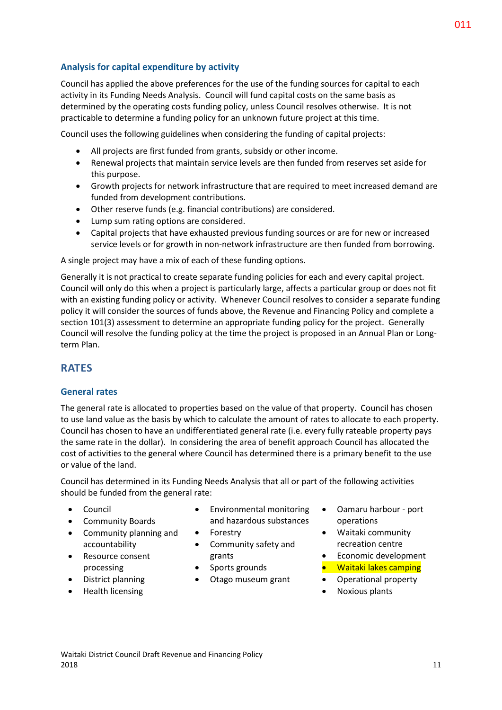# **Analysis for capital expenditure by activity**

Council has applied the above preferences for the use of the funding sources for capital to each activity in its Funding Needs Analysis. Council will fund capital costs on the same basis as determined by the operating costs funding policy, unless Council resolves otherwise. It is not practicable to determine a funding policy for an unknown future project at this time.

Council uses the following guidelines when considering the funding of capital projects:

- All projects are first funded from grants, subsidy or other income.
- Renewal projects that maintain service levels are then funded from reserves set aside for this purpose.
- Growth projects for network infrastructure that are required to meet increased demand are funded from development contributions.
- Other reserve funds (e.g. financial contributions) are considered.
- Lump sum rating options are considered.
- Capital projects that have exhausted previous funding sources or are for new or increased service levels or for growth in non-network infrastructure are then funded from borrowing.

A single project may have a mix of each of these funding options.

Generally it is not practical to create separate funding policies for each and every capital project. Council will only do this when a project is particularly large, affects a particular group or does not fit with an existing funding policy or activity. Whenever Council resolves to consider a separate funding policy it will consider the sources of funds above, the Revenue and Financing Policy and complete a section 101(3) assessment to determine an appropriate funding policy for the project. Generally Council will resolve the funding policy at the time the project is proposed in an Annual Plan or Longterm Plan.

# **RATES**

# **General rates**

The general rate is allocated to properties based on the value of that property. Council has chosen to use land value as the basis by which to calculate the amount of rates to allocate to each property. Council has chosen to have an undifferentiated general rate (i.e. every fully rateable property pays the same rate in the dollar). In considering the area of benefit approach Council has allocated the cost of activities to the general where Council has determined there is a primary benefit to the use or value of the land.

Council has determined in its Funding Needs Analysis that all or part of the following activities should be funded from the general rate:

- Council
- **•** Community Boards
- Community planning and accountability
- Resource consent processing
- District planning
- Health licensing
- Environmental monitoring and hazardous substances
- Forestry
- Community safety and grants
- Sports grounds
- Otago museum grant
- Oamaru harbour port operations
- Waitaki community recreation centre
- Economic development
- Waitaki lakes camping
- Operational property
- Noxious plants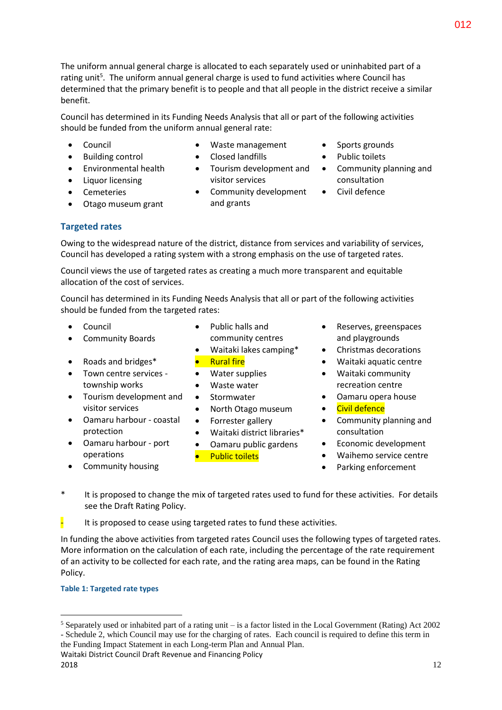The uniform annual general charge is allocated to each separately used or uninhabited part of a rating unit<sup>5</sup>. The uniform annual general charge is used to fund activities where Council has determined that the primary benefit is to people and that all people in the district receive a similar benefit.

Council has determined in its Funding Needs Analysis that all or part of the following activities should be funded from the uniform annual general rate:

Council

- Waste management • Closed landfills
- Building control
- Environmental health Liquor licensing
- Cemeteries
- Otago museum grant
- Tourism development and visitor services
- Community development and grants
- Sports grounds
- Public toilets
- Community planning and consultation
- Civil defence

# **Targeted rates**

Owing to the widespread nature of the district, distance from services and variability of services, Council has developed a rating system with a strong emphasis on the use of targeted rates.

Council views the use of targeted rates as creating a much more transparent and equitable allocation of the cost of services.

Council has determined in its Funding Needs Analysis that all or part of the following activities should be funded from the targeted rates:

- Council
- Community Boards
- Roads and bridges\*
- Town centre services township works
- Tourism development and visitor services
- Oamaru harbour coastal protection
- Oamaru harbour port operations
- Community housing
- Public halls and community centres
- Waitaki lakes camping\* Rural fire
- Water supplies
- Waste water
- Stormwater
- North Otago museum
- Forrester gallery
- Waitaki district libraries\*
- Oamaru public gardens
	- Public toilets
- Reserves, greenspaces and playgrounds
- Christmas decorations
- Waitaki aquatic centre
- Waitaki community recreation centre
- Oamaru opera house
- Civil defence
- Community planning and consultation
- Economic development
- Waihemo service centre
- Parking enforcement
- \* It is proposed to change the mix of targeted rates used to fund for these activities. For details see the Draft Rating Policy.

 $\frac{1}{2}$  It is proposed to cease using targeted rates to fund these activities.

In funding the above activities from targeted rates Council uses the following types of targeted rates. More information on the calculation of each rate, including the percentage of the rate requirement of an activity to be collected for each rate, and the rating area maps, can be found in the Rating Policy.

# **Table 1: Targeted rate types**

Waitaki District Council Draft Revenue and Financing Policy the Funding Impact Statement in each Long-term Plan and Annual Plan.

<sup>&</sup>lt;u>.</u> <sup>5</sup> Separately used or inhabited part of a rating unit – is a factor listed in the Local Government (Rating) Act 2002 - Schedule 2, which Council may use for the charging of rates. Each council is required to define this term in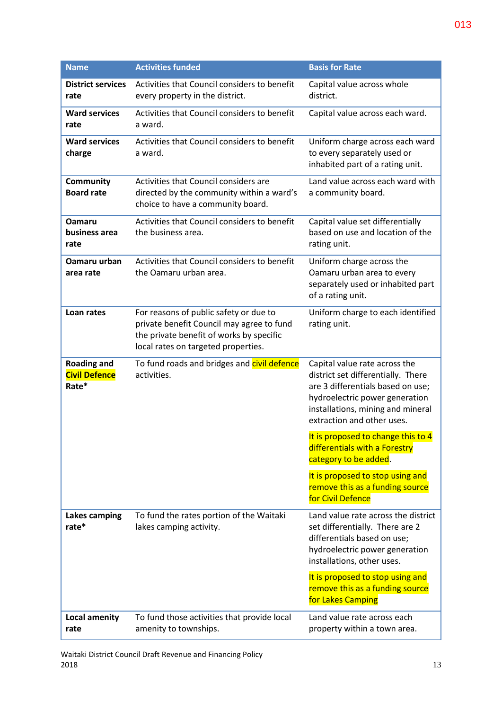| <b>Name</b>                                         | <b>Activities funded</b>                                                                                                                                               | <b>Basis for Rate</b>                                                                                                                                                                                         |
|-----------------------------------------------------|------------------------------------------------------------------------------------------------------------------------------------------------------------------------|---------------------------------------------------------------------------------------------------------------------------------------------------------------------------------------------------------------|
| <b>District services</b><br>rate                    | Activities that Council considers to benefit<br>every property in the district.                                                                                        | Capital value across whole<br>district.                                                                                                                                                                       |
| <b>Ward services</b><br>rate                        | Activities that Council considers to benefit<br>a ward.                                                                                                                | Capital value across each ward.                                                                                                                                                                               |
| <b>Ward services</b><br>charge                      | Activities that Council considers to benefit<br>a ward.                                                                                                                | Uniform charge across each ward<br>to every separately used or<br>inhabited part of a rating unit.                                                                                                            |
| Community<br><b>Board rate</b>                      | Activities that Council considers are<br>directed by the community within a ward's<br>choice to have a community board.                                                | Land value across each ward with<br>a community board.                                                                                                                                                        |
| <b>Oamaru</b><br>business area<br>rate              | Activities that Council considers to benefit<br>the business area.                                                                                                     | Capital value set differentially<br>based on use and location of the<br>rating unit.                                                                                                                          |
| Oamaru urban<br>area rate                           | Activities that Council considers to benefit<br>the Oamaru urban area.                                                                                                 | Uniform charge across the<br>Oamaru urban area to every<br>separately used or inhabited part<br>of a rating unit.                                                                                             |
| Loan rates                                          | For reasons of public safety or due to<br>private benefit Council may agree to fund<br>the private benefit of works by specific<br>local rates on targeted properties. | Uniform charge to each identified<br>rating unit.                                                                                                                                                             |
| <b>Roading and</b><br><b>Civil Defence</b><br>Rate* | To fund roads and bridges and civil defence<br>activities.                                                                                                             | Capital value rate across the<br>district set differentially. There<br>are 3 differentials based on use;<br>hydroelectric power generation<br>installations, mining and mineral<br>extraction and other uses. |
|                                                     |                                                                                                                                                                        | It is proposed to change this to 4<br>differentials with a Forestry<br>category to be added.                                                                                                                  |
|                                                     |                                                                                                                                                                        | It is proposed to stop using and<br>remove this as a funding source<br>for Civil Defence                                                                                                                      |
| Lakes camping<br>rate*                              | To fund the rates portion of the Waitaki<br>lakes camping activity.                                                                                                    | Land value rate across the district<br>set differentially. There are 2<br>differentials based on use;<br>hydroelectric power generation<br>installations, other uses.                                         |
|                                                     |                                                                                                                                                                        | It is proposed to stop using and<br>remove this as a funding source<br>for Lakes Camping                                                                                                                      |
| <b>Local amenity</b><br>rate                        | To fund those activities that provide local<br>amenity to townships.                                                                                                   | Land value rate across each<br>property within a town area.                                                                                                                                                   |